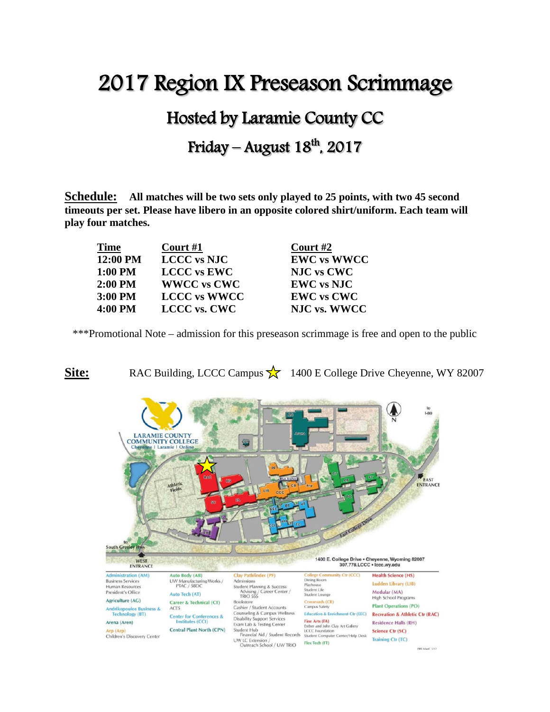## 2017 Region IX Preseason Scrimmage

## Hosted by Laramie County CC Friday – August  $18<sup>th</sup>$ , 2017

**Schedule: All matches will be two sets only played to 25 points, with two 45 second timeouts per set. Please have libero in an opposite colored shirt/uniform. Each team will play four matches.**

| <u>Time</u> | Court $#1$          | Court $#2$         |
|-------------|---------------------|--------------------|
| 12:00 PM    | <b>LCCC</b> vs NJC  | <b>EWC vs WWCC</b> |
| 1:00 PM     | <b>LCCC</b> vs EWC  | <b>NJC</b> vs CWC  |
| 2:00 PM     | <b>WWCC vs CWC</b>  | <b>EWC</b> vs NJC  |
| 3:00 PM     | <b>LCCC vs WWCC</b> | <b>EWC</b> vs CWC  |
| 4:00 PM     | <b>LCCC</b> vs. CWC | NJC vs. WWCC       |

\*\*\*Promotional Note – admission for this preseason scrimmage is free and open to the public

Site: RAC Building, LCCC Campus  $\sqrt{\frac{1}{2}}$  1400 E College Drive Cheyenne, WY 82007